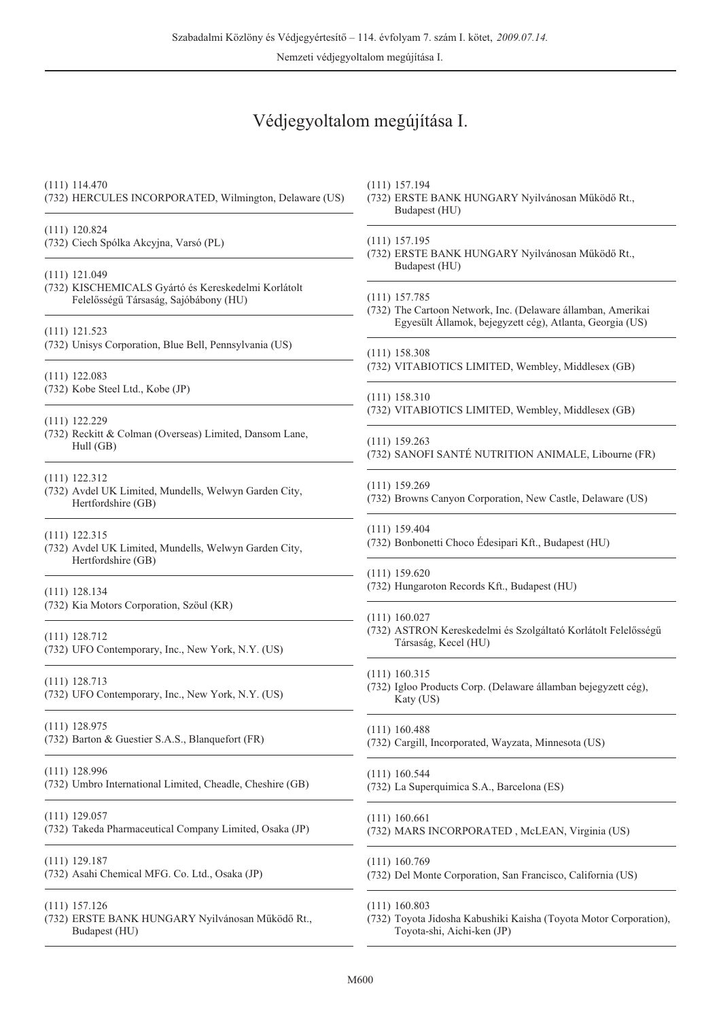Nemzeti védjegyoltalom megújítása I.

## Védjegyoltalom megújítása I.

| $(111)$ 114.470<br>(732) HERCULES INCORPORATED, Wilmington, Delaware (US)                      | $(111)$ 157.194<br>(732) ERSTE BANK HUNGARY Nyilvánosan Működő Rt.,<br>Budapest (HU)           |
|------------------------------------------------------------------------------------------------|------------------------------------------------------------------------------------------------|
| $(111)$ 120.824                                                                                | $(111)$ 157.195                                                                                |
| (732) Ciech Spólka Akcyjna, Varsó (PL)                                                         | (732) ERSTE BANK HUNGARY Nyilvánosan Működő Rt.,                                               |
| $(111)$ 121.049                                                                                | Budapest (HU)                                                                                  |
| (732) KISCHEMICALS Gyártó és Kereskedelmi Korlátolt                                            | $(111)$ 157.785                                                                                |
| Felelősségű Társaság, Sajóbábony (HU)                                                          | (732) The Cartoon Network, Inc. (Delaware államban, Amerikai                                   |
| $(111)$ 121.523<br>(732) Unisys Corporation, Blue Bell, Pennsylvania (US)                      | Egyesült Államok, bejegyzett cég), Atlanta, Georgia (US)                                       |
| $(111)$ 122.083                                                                                | $(111)$ 158.308                                                                                |
| (732) Kobe Steel Ltd., Kobe (JP)                                                               | (732) VITABIOTICS LIMITED, Wembley, Middlesex (GB)                                             |
| $(111)$ 122.229                                                                                | $(111)$ 158.310<br>(732) VITABIOTICS LIMITED, Wembley, Middlesex (GB)                          |
| (732) Reckitt & Colman (Overseas) Limited, Dansom Lane,                                        | $(111)$ 159.263                                                                                |
| Hull (GB)                                                                                      | (732) SANOFI SANTÉ NUTRITION ANIMALE, Libourne (FR)                                            |
| $(111)$ 122.312<br>(732) Avdel UK Limited, Mundells, Welwyn Garden City,<br>Hertfordshire (GB) | $(111)$ 159.269<br>(732) Browns Canyon Corporation, New Castle, Delaware (US)                  |
| $(111)$ 122.315<br>(732) Avdel UK Limited, Mundells, Welwyn Garden City,<br>Hertfordshire (GB) | $(111)$ 159.404<br>(732) Bonbonetti Choco Édesipari Kft., Budapest (HU)                        |
| $(111)$ 128.134                                                                                | $(111)$ 159.620<br>(732) Hungaroton Records Kft., Budapest (HU)                                |
| (732) Kia Motors Corporation, Szöul (KR)                                                       | $(111)$ 160.027                                                                                |
| $(111)$ 128.712                                                                                | (732) ASTRON Kereskedelmi és Szolgáltató Korlátolt Felelősségű                                 |
| (732) UFO Contemporary, Inc., New York, N.Y. (US)                                              | Társaság, Kecel (HU)                                                                           |
| $(111)$ 128.713<br>(732) UFO Contemporary, Inc., New York, N.Y. (US)                           | $(111)$ 160.315<br>(732) Igloo Products Corp. (Delaware államban bejegyzett cég),<br>Katy (US) |
| $(111)$ 128.975                                                                                | $(111)$ 160.488                                                                                |
| (732) Barton & Guestier S.A.S., Blanquefort (FR)                                               | (732) Cargill, Incorporated, Wayzata, Minnesota (US)                                           |
| $(111)$ 128.996                                                                                | $(111)$ 160.544                                                                                |
| (732) Umbro International Limited, Cheadle, Cheshire (GB)                                      | (732) La Superquimica S.A., Barcelona (ES)                                                     |
| $(111)$ 129.057                                                                                | $(111)$ 160.661                                                                                |
| (732) Takeda Pharmaceutical Company Limited, Osaka (JP)                                        | (732) MARS INCORPORATED, McLEAN, Virginia (US)                                                 |
| $(111)$ 129.187                                                                                | $(111)$ 160.769                                                                                |
| (732) Asahi Chemical MFG. Co. Ltd., Osaka (JP)                                                 | (732) Del Monte Corporation, San Francisco, California (US)                                    |
| $(111)$ 157.126                                                                                | $(111)$ 160.803                                                                                |
| (732) ERSTE BANK HUNGARY Nyilvánosan Működő Rt.,                                               | (732) Toyota Jidosha Kabushiki Kaisha (Toyota Motor Corporation),                              |
| Budapest (HU)                                                                                  | Toyota-shi, Aichi-ken (JP)                                                                     |